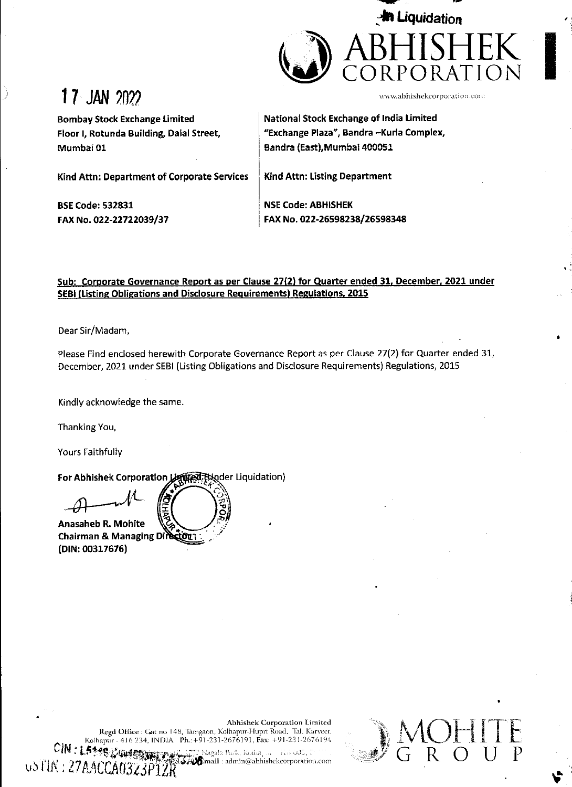

# 17 JAN 202

Mumbai 01

Bombay Stock Exchange Limited

Kind Attn: Department of Corporate Services

www.abhishekcorporation.com

Bf

Floor |, Rotunda Building, Dalal Street, National Stock Exchange of India Limited "Exchange Plaza", Bandra —Kurla Complex, Bandra (East),Mumbai 400051

Kind Attn: Listing Department

BSE Code: 532831 FAX No. 022-22722039/37 NSE Code: ABHISHEK FAX No. 022-26598238/26598348

### Sub: Corporate Governance Report as per Clause 27(2) for Quarter ended 31, December, 2021 under SEBI (Listing Obligations and Disclosure Requirements) Regulations, 2015

Dear Sir/Madam,

Please Find enclosed herewith Corporate Governance Report as per Clause 27(2) for Quarter ended 31, December, 2021 under SEBI (Listing Obligations and Disclosure Requirements) Regulations, 2015

Kindly acknowledge the same.

Thanking You,

Yours Faithfully

the contract of the contract of the contract of the contract of the contract of the contract of the contract of

For Abhishek Corporation Lining Hander Liquidation)

Anasaheb R. Mohite Chairman & Managing Di ר מסבֿ. (DIN: 00317676)

Abhishek Corporation Limited Regd Office : Gat no 148, Tamgaon, Kolhapur-Hupri Road, 'Tal. Karveer, Abhishek<br>191-231-2676191<br>17 Nazala Park, Kolli<br>17 Nazala Park, Kolli

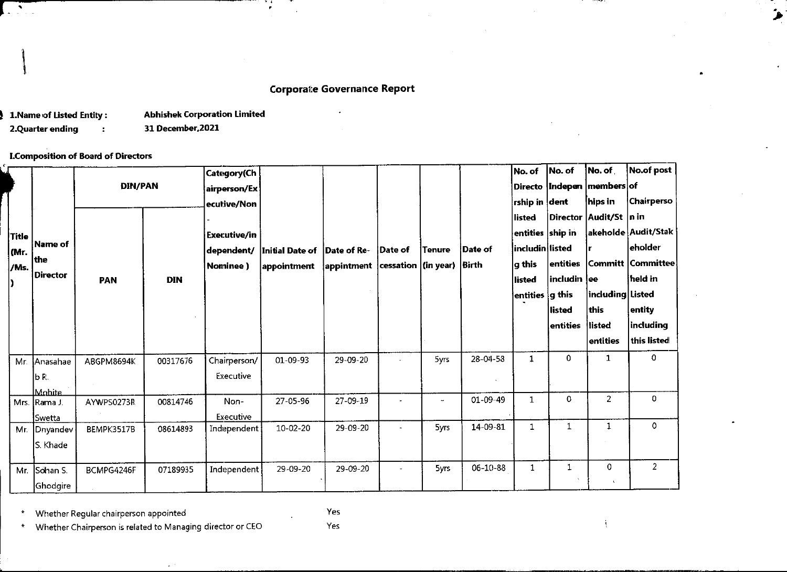## Corporate Governance Report

 $\bullet$ 

# Corporate Gov<br>
1.Name of Listed Entity : Abhishek Corporation Limited<br>
2.Quarter ending : 31 December, 2021<br>
L.Composition of Board of Directors LComposition of Board of Directors

|                       |                                               |                                                                                                     |                   |                                            | . .<br>×.<br>$\sim$            |                                                           |                      |             |                  |                                                                                       |                                                       |                                                                                   |                                                                                                          |
|-----------------------|-----------------------------------------------|-----------------------------------------------------------------------------------------------------|-------------------|--------------------------------------------|--------------------------------|-----------------------------------------------------------|----------------------|-------------|------------------|---------------------------------------------------------------------------------------|-------------------------------------------------------|-----------------------------------------------------------------------------------|----------------------------------------------------------------------------------------------------------|
|                       | 1. Name of Listed Entity:<br>2.Quarter ending | $\ddot{ }$<br><b>I.Composition of Board of Directors</b>                                            | 31 December, 2021 | <b>Abhishek Corporation Limited</b>        |                                | <b>Corporate Governance Report</b>                        |                      |             |                  |                                                                                       |                                                       |                                                                                   |                                                                                                          |
|                       |                                               | <b>DIN/PAN</b>                                                                                      |                   | Category(Ch<br>airperson/Ex<br>ecutive/Non |                                |                                                           |                      |             |                  | No. of<br>$\vert$ rship in $\vert$ dent                                               | No. of                                                | No. of<br>Directo   Indepen   members of<br>hips in                               | No.of post<br><b>Chairperso</b>                                                                          |
| Title<br>(Mr.<br>/Ms. | Name of<br>the<br>Director                    | <b>PAN</b>                                                                                          | <b>DIN</b>        | Executive/in<br>dependent/<br>Nominee)     | Initial Date of<br>appointment | Date of Re-<br>$ $ appintment $ $ cessation $ $ (in year) | Date of              | Tenure      | Date of<br>Birth | listed<br>$ $ entities $ $ ship in<br>includin listed<br>g this<br>listed<br>entities | entities<br> includin<br>g this<br>listed<br>entities | Director  Audit/St  n in<br>lee<br>including Listed<br>this<br>listed<br>entities | akeholde Audit/Stak<br>$ $ eholder<br>Committ Committee<br>held in<br>entity<br>including<br>this listed |
|                       | Mr. Anasahae<br>b R.<br><b>Mobite</b>         | ABGPM8694K                                                                                          | 00317676          | Chairperson/<br>Executive                  | 01-09-93                       | 29-09-20                                                  |                      | 5yrs        | 28-04-58         | $\mathbf 1$                                                                           | $\mathbf 0$                                           | $\mathbf{1}$                                                                      | 0                                                                                                        |
|                       | Mrs. Rama J.<br>Swetta                        | AYWPS0273R                                                                                          | 00814746          | Non-<br>Executive                          | 27-05-96                       | 27-09-19                                                  |                      | $\omega$    | 01-09-49         | $\mathbf 1$                                                                           | $\pmb{0}$                                             | $\overline{c}$                                                                    | $\mathbf{O}$                                                                                             |
| Mr.                   | Dnyandev<br>S Khade                           | BEMPK3517B                                                                                          | 08614893          | Independent                                | 10-02-20                       | 29-09-20                                                  | $\ddot{\phantom{a}}$ | <b>Syrs</b> | 14-09-81         | $\mathbf 1$                                                                           | $\mathbf{1}$                                          | $\mathbf{1}$                                                                      | $\mathsf{O}$                                                                                             |
| Mr.                   | Sohan S.<br>Ghodgire                          | BCMPG4246F                                                                                          | 07189935          | Independent                                | 29-09-20                       | 29-09-20                                                  | $\blacksquare$       | 5yrs        | $06 - 10 - 88$   | $\mathbf{1}$                                                                          | $\,1\,$                                               | 0<br>$\mathbf{R}$                                                                 | $\overline{2}$                                                                                           |
| $\star$<br>$\star$    |                                               | Whether Regular chairperson appointed<br>Whether Chairperson is related to Managing director or CEO |                   |                                            |                                | Yes<br>Yes                                                |                      |             |                  |                                                                                       |                                                       |                                                                                   |                                                                                                          |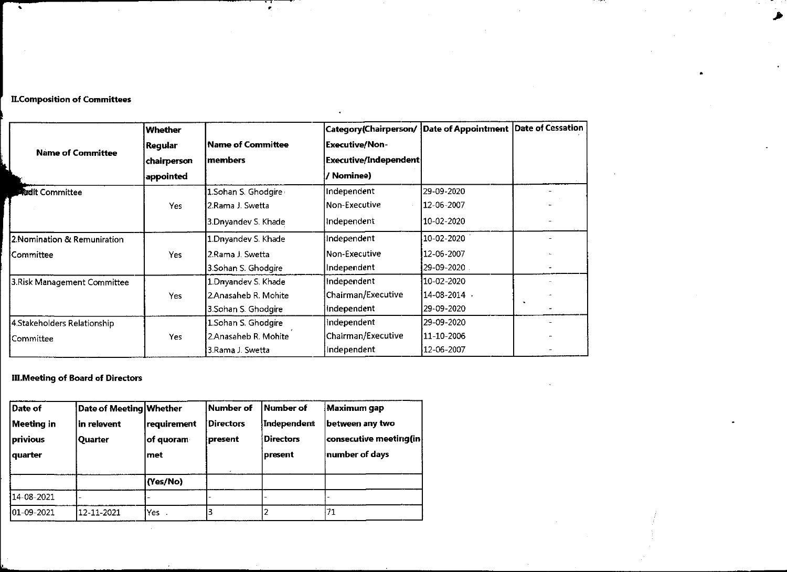### ILComposition of Committees

| $\bullet$                                                 |                                                           |                |                                                                                                                                                                                                               | र्वेदार्गः स्टब्स्<br>। स्टब्स्<br>। स्टब्स् | $\sim 10^{11}$ km s $^{-1}$                                             |                                                                                                                                                                                                                                                                                                                                                                                                                                                                                |           |
|-----------------------------------------------------------|-----------------------------------------------------------|----------------|---------------------------------------------------------------------------------------------------------------------------------------------------------------------------------------------------------------|----------------------------------------------|-------------------------------------------------------------------------|--------------------------------------------------------------------------------------------------------------------------------------------------------------------------------------------------------------------------------------------------------------------------------------------------------------------------------------------------------------------------------------------------------------------------------------------------------------------------------|-----------|
|                                                           | $\mathcal{L}(\mathcal{A})$ and $\mathcal{L}(\mathcal{A})$ |                |                                                                                                                                                                                                               |                                              |                                                                         | $\label{eq:2.1} \frac{1}{\sqrt{2}}\left(\frac{1}{\sqrt{2}}\right)^{2} \left(\frac{1}{\sqrt{2}}\right)^{2} \left(\frac{1}{\sqrt{2}}\right)^{2} \left(\frac{1}{\sqrt{2}}\right)^{2} \left(\frac{1}{\sqrt{2}}\right)^{2} \left(\frac{1}{\sqrt{2}}\right)^{2} \left(\frac{1}{\sqrt{2}}\right)^{2} \left(\frac{1}{\sqrt{2}}\right)^{2} \left(\frac{1}{\sqrt{2}}\right)^{2} \left(\frac{1}{\sqrt{2}}\right)^{2} \left(\frac{1}{\sqrt{2}}\right)^{2} \left(\$                         |           |
|                                                           |                                                           |                | $\label{eq:2.1} \mathcal{L}(\mathcal{L}^{\text{max}}_{\mathcal{L}}(\mathcal{L}^{\text{max}}_{\mathcal{L}})) \leq \mathcal{L}(\mathcal{L}^{\text{max}}_{\mathcal{L}}(\mathcal{L}^{\text{max}}_{\mathcal{L}}))$ |                                              |                                                                         | $\label{eq:2.1} \mathcal{L}(\mathcal{L}(\mathcal{L})) = \mathcal{L}(\mathcal{L}(\mathcal{L})) = \mathcal{L}(\mathcal{L}(\mathcal{L})) = \mathcal{L}(\mathcal{L}(\mathcal{L})) = \mathcal{L}(\mathcal{L}(\mathcal{L})) = \mathcal{L}(\mathcal{L}(\mathcal{L})) = \mathcal{L}(\mathcal{L}(\mathcal{L})) = \mathcal{L}(\mathcal{L}(\mathcal{L})) = \mathcal{L}(\mathcal{L}(\mathcal{L})) = \mathcal{L}(\mathcal{L}(\mathcal{L})) = \mathcal{L}(\mathcal{L}(\mathcal{L})) = \math$ |           |
|                                                           |                                                           |                |                                                                                                                                                                                                               |                                              |                                                                         |                                                                                                                                                                                                                                                                                                                                                                                                                                                                                |           |
|                                                           |                                                           |                |                                                                                                                                                                                                               |                                              |                                                                         |                                                                                                                                                                                                                                                                                                                                                                                                                                                                                |           |
|                                                           | <b>II.Composition of Committees</b>                       |                |                                                                                                                                                                                                               |                                              |                                                                         |                                                                                                                                                                                                                                                                                                                                                                                                                                                                                |           |
|                                                           |                                                           | Whether        |                                                                                                                                                                                                               |                                              | $ $ Category(Chairperson/ $ $ Date of Appointment $ $ Date of Cessation |                                                                                                                                                                                                                                                                                                                                                                                                                                                                                |           |
|                                                           |                                                           | <b>Regular</b> | Name of Committee<br>members                                                                                                                                                                                  |                                              | <b>Executive/Non-</b>                                                   |                                                                                                                                                                                                                                                                                                                                                                                                                                                                                |           |
|                                                           | <b>Name of Committee</b>                                  | chairperson    |                                                                                                                                                                                                               |                                              | <b>Executive/Independent</b>                                            |                                                                                                                                                                                                                                                                                                                                                                                                                                                                                |           |
|                                                           |                                                           | appointed      |                                                                                                                                                                                                               |                                              | / Nominee)                                                              |                                                                                                                                                                                                                                                                                                                                                                                                                                                                                |           |
| <b>Addit Committee</b>                                    |                                                           | Yes            | 1.Sohan S. Ghodgire<br>2.Rama J. Swetta                                                                                                                                                                       |                                              | Independent<br>Non-Executive                                            | 29-09-2020<br>12-06-2007                                                                                                                                                                                                                                                                                                                                                                                                                                                       |           |
|                                                           |                                                           |                | 3.Dnyandev S. Khade                                                                                                                                                                                           |                                              | Independent                                                             | 10-02-2020                                                                                                                                                                                                                                                                                                                                                                                                                                                                     |           |
|                                                           | 2. Nomination & Remuniration                              |                | 1.Dnyandev S. Khade                                                                                                                                                                                           |                                              | Independent                                                             | 10-02-2020                                                                                                                                                                                                                                                                                                                                                                                                                                                                     |           |
| Committee                                                 |                                                           | Yes            | 2.Rama J. Swetta                                                                                                                                                                                              |                                              | Non-Executive                                                           | 12-06-2007                                                                                                                                                                                                                                                                                                                                                                                                                                                                     |           |
|                                                           |                                                           |                | 3.Sohan S. Ghodgire<br>1 Dryandev S. Khade                                                                                                                                                                    |                                              | Independent<br>Independent                                              | 29-09-2020<br>10-02-2020                                                                                                                                                                                                                                                                                                                                                                                                                                                       |           |
|                                                           | 3. Risk Management Committee                              | <b>Yes</b>     | 2.Anasaheb R. Mohite                                                                                                                                                                                          |                                              | Chairman/Executive                                                      | 14-08-2014 \                                                                                                                                                                                                                                                                                                                                                                                                                                                                   |           |
| 4.Stakeholders Relationship                               |                                                           |                | 3.Sohan S. Ghodgire                                                                                                                                                                                           |                                              | Independent                                                             | 29-09-2020                                                                                                                                                                                                                                                                                                                                                                                                                                                                     | $\bullet$ |
|                                                           |                                                           |                | 1.Sohan S. Ghodgire<br>2.Anasaheb R. Mohite<br>3.Rama J. Swetta                                                                                                                                               |                                              | Independent<br>Chairman/Executive                                       | 29-09-2020<br>11-10-2006                                                                                                                                                                                                                                                                                                                                                                                                                                                       |           |
|                                                           |                                                           |                |                                                                                                                                                                                                               |                                              |                                                                         |                                                                                                                                                                                                                                                                                                                                                                                                                                                                                |           |
|                                                           |                                                           | Yes            |                                                                                                                                                                                                               |                                              | Independent                                                             | 12-06-2007                                                                                                                                                                                                                                                                                                                                                                                                                                                                     |           |
|                                                           |                                                           |                |                                                                                                                                                                                                               |                                              |                                                                         |                                                                                                                                                                                                                                                                                                                                                                                                                                                                                |           |
|                                                           | <b>III. Meeting of Board of Directors</b>                 |                |                                                                                                                                                                                                               |                                              |                                                                         |                                                                                                                                                                                                                                                                                                                                                                                                                                                                                |           |
|                                                           | Date of Meeting Whether                                   |                | Number of                                                                                                                                                                                                     | Number of                                    | Maximum gap                                                             |                                                                                                                                                                                                                                                                                                                                                                                                                                                                                |           |
|                                                           | in relevent                                               | requirement    | <b>Directors</b>                                                                                                                                                                                              | Independent                                  | between any two                                                         |                                                                                                                                                                                                                                                                                                                                                                                                                                                                                |           |
|                                                           | Quarter                                                   | of quoram      | present                                                                                                                                                                                                       | <b>Directors</b>                             | consecutive meeting (in                                                 |                                                                                                                                                                                                                                                                                                                                                                                                                                                                                |           |
| Committee<br>Date of<br>Meeting in<br>privious<br>quarter |                                                           | met            |                                                                                                                                                                                                               | present                                      | number of days                                                          |                                                                                                                                                                                                                                                                                                                                                                                                                                                                                |           |

### Il.Meeting of Board of Directors

Ļ,

| 3.Risk Management Committee |                         |             | 1. Driyandev S. Khade |                    | Independent            |  |
|-----------------------------|-------------------------|-------------|-----------------------|--------------------|------------------------|--|
|                             |                         | <b>Yes</b>  | 2.Anasaheb R. Mohite  |                    | Chairman/Executive     |  |
|                             |                         |             | 3.Sohan S. Ghodgire   |                    | Independent            |  |
| 4 Stakeholders Relationship |                         |             | 1 Sohan S. Ghodgire   |                    | Independent            |  |
| lCommittee                  |                         | Yes         | 2.Anasaheb R. Mohite  |                    | Chairman/Executive     |  |
|                             |                         |             | 3.Rama J. Swetta      |                    | Independent            |  |
| <b>Meeting in</b>           | in relevent             | requirement | <b>Directors</b>      | <b>Independent</b> | between any two        |  |
| Date of                     | Date of Meeting Whether |             | <b>Number of</b>      | Number of          | Maximum gap            |  |
| privious                    | Quarter                 | of quoram   | present               | <b>Directors</b>   | consecutive meeting(in |  |
| quarter                     |                         | met         |                       | present            | number of days         |  |
|                             |                         | (Yes/No)    |                       |                    |                        |  |
|                             |                         |             |                       |                    |                        |  |
| 14-08-2021                  |                         |             |                       |                    |                        |  |
| $ 01 - 09 - 2021 $          | 12-11-2021              | Yes.        | 3                     | 2                  | 71                     |  |

 $\mathcal{L}_{\mathcal{A}}$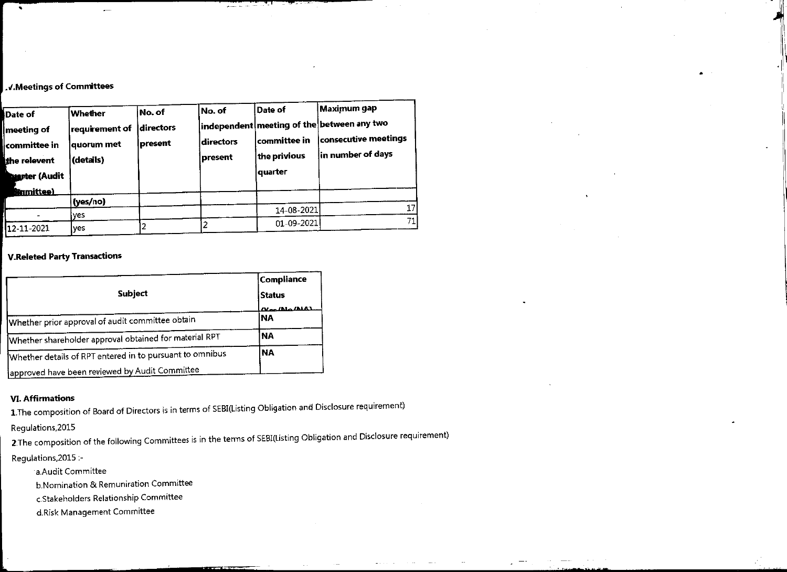### .v.Meetings of Committees

and the contract of the contract of the contract of the contract of the contract of the contract of the contract of

| $\cdot$                             |                                                            |         | and the company of the company of the company of the |                      |                                                                                                                       |
|-------------------------------------|------------------------------------------------------------|---------|------------------------------------------------------|----------------------|-----------------------------------------------------------------------------------------------------------------------|
|                                     |                                                            |         |                                                      |                      |                                                                                                                       |
|                                     |                                                            |         |                                                      |                      |                                                                                                                       |
|                                     |                                                            |         |                                                      |                      |                                                                                                                       |
| .V.Meetings of Committees           |                                                            |         |                                                      |                      |                                                                                                                       |
|                                     |                                                            |         |                                                      |                      |                                                                                                                       |
| Date of                             | Whether                                                    | No. of  | No. of                                               | Date of              | Maximum gap                                                                                                           |
| meeting of                          | requirement of directors                                   |         |                                                      |                      | $ $ independent $ $ meeting of the $ $ between any two                                                                |
| committee in                        | quorum met                                                 | present | directors                                            | committee in         | consecutive meetings                                                                                                  |
| the relevent                        | (details)                                                  |         | present                                              | the privious         | in number of days                                                                                                     |
| <b>Marter (Audit</b>                |                                                            |         |                                                      | quarter              |                                                                                                                       |
| <b>Sinmittee)</b>                   | (yes/no)                                                   |         |                                                      |                      |                                                                                                                       |
| ÷                                   | yes                                                        |         |                                                      | 14-08-2021           | 17                                                                                                                    |
| 12-11-2021                          | yes                                                        | 2       | 2                                                    | 01-09-2021           | 71                                                                                                                    |
| <b>V.Releted Party Transactions</b> |                                                            |         |                                                      |                      |                                                                                                                       |
|                                     |                                                            |         |                                                      | Compliance           |                                                                                                                       |
|                                     | <b>Subject</b>                                             |         |                                                      | <b>Status</b>        |                                                                                                                       |
|                                     | Whether prior approval of audit committee obtain           |         |                                                      | Neglila (ALA)<br> NA |                                                                                                                       |
|                                     | Whether shareholder approval obtained for material RPT     |         |                                                      | <b>NA</b>            |                                                                                                                       |
|                                     | Whether details of RPT entered in to pursuant to omnibus   |         |                                                      | <b>NA</b>            |                                                                                                                       |
|                                     | approved have been reviewed by Audit Committee             |         |                                                      |                      |                                                                                                                       |
|                                     |                                                            |         |                                                      |                      |                                                                                                                       |
| <b>VI. Affirmations</b>             |                                                            |         |                                                      |                      |                                                                                                                       |
|                                     |                                                            |         |                                                      |                      | 1. The composition of Board of Directors is in terms of SEBI(Listing Obligation and Disclosure requirement)           |
| Regulations, 2015                   |                                                            |         |                                                      |                      |                                                                                                                       |
|                                     |                                                            |         |                                                      |                      | 2. The composition of the following Committees is in the terms of SEBI(Listing Obligation and Disclosure requirement) |
| Regulations, 2015 :-                |                                                            |         |                                                      |                      |                                                                                                                       |
|                                     | a Audit Committee<br>b.Nomination & Remuniration Committee |         |                                                      |                      |                                                                                                                       |
|                                     | c.Stakeholders Relationship Committee                      |         |                                                      |                      |                                                                                                                       |
|                                     | d.Risk Management Committee                                |         |                                                      |                      |                                                                                                                       |
|                                     |                                                            |         |                                                      |                      |                                                                                                                       |
|                                     |                                                            |         |                                                      |                      |                                                                                                                       |
|                                     |                                                            |         |                                                      |                      |                                                                                                                       |

### V.Releted Party Transactions

|                                           |                                                                                |                | İ2                                                       | 01-09-2021                                                                                                                                                                                                         |  |
|-------------------------------------------|--------------------------------------------------------------------------------|----------------|----------------------------------------------------------|--------------------------------------------------------------------------------------------------------------------------------------------------------------------------------------------------------------------|--|
| 12-11-2021                                | yes                                                                            | 2              |                                                          |                                                                                                                                                                                                                    |  |
|                                           | <b>V.Releted Party Transactions</b>                                            |                |                                                          |                                                                                                                                                                                                                    |  |
|                                           |                                                                                | <b>Subject</b> |                                                          | Compliance<br><b>Status</b><br>القلقان والقائمة                                                                                                                                                                    |  |
|                                           | Whether prior approval of audit committee obtain                               |                |                                                          | <b>NA</b>                                                                                                                                                                                                          |  |
|                                           | Whether shareholder approval obtained for material RPT                         |                |                                                          | <b>NA</b>                                                                                                                                                                                                          |  |
|                                           |                                                                                |                | Whether details of RPT entered in to pursuant to omnibus | <b>NA</b>                                                                                                                                                                                                          |  |
|                                           | approved have been reviewed by Audit Committee                                 |                |                                                          |                                                                                                                                                                                                                    |  |
| Regulations, 2015<br>Requiations, 2015 :- | a Audit Committee                                                              |                |                                                          | 1. The composition of Board of Directors is in terms of SEBI(Listing Obligation and Disclosure requireme<br>2. The composition of the following Committees is in the terms of SEBI(Listing Obligation and Disclosu |  |
|                                           | b.Nomination & Remuniration Committee<br>c.Stakeholders Relationship Committee |                |                                                          |                                                                                                                                                                                                                    |  |
|                                           | d.Risk Management Committee                                                    |                |                                                          |                                                                                                                                                                                                                    |  |
|                                           |                                                                                |                |                                                          |                                                                                                                                                                                                                    |  |
|                                           |                                                                                |                |                                                          |                                                                                                                                                                                                                    |  |

### VI. Affirmations

 $\overline{\phantom{a}}$